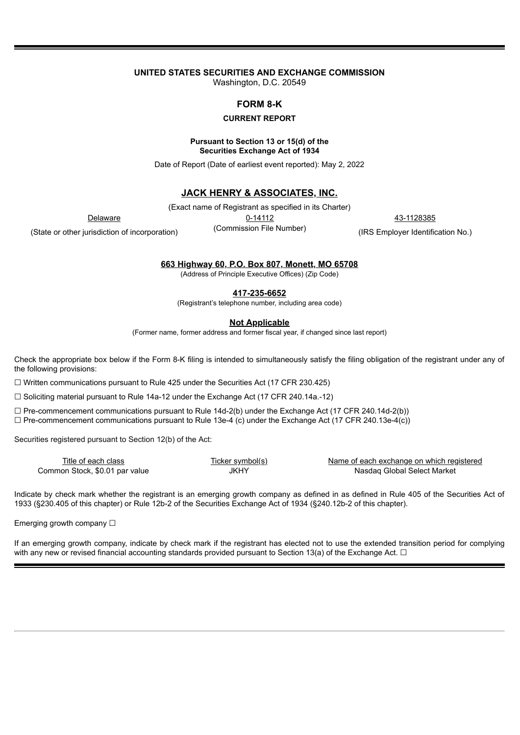# **UNITED STATES SECURITIES AND EXCHANGE COMMISSION**

Washington, D.C. 20549

## **FORM 8-K**

### **CURRENT REPORT**

#### **Pursuant to Section 13 or 15(d) of the Securities Exchange Act of 1934**

Date of Report (Date of earliest event reported): May 2, 2022

## **JACK HENRY & ASSOCIATES, INC.**

(Exact name of Registrant as specified in its Charter)

Delaware 0-14112 43-1128385

(State or other jurisdiction of incorporation)

(Commission File Number)

(IRS Employer Identification No.)

**663 Highway 60, P.O. Box 807, Monett, MO 65708**

(Address of Principle Executive Offices) (Zip Code)

**417-235-6652**

(Registrant's telephone number, including area code)

**Not Applicable**

(Former name, former address and former fiscal year, if changed since last report)

Check the appropriate box below if the Form 8-K filing is intended to simultaneously satisfy the filing obligation of the registrant under any of the following provisions:

 $\Box$  Written communications pursuant to Rule 425 under the Securities Act (17 CFR 230.425)

 $\Box$  Soliciting material pursuant to Rule 14a-12 under the Exchange Act (17 CFR 240.14a.-12)

 $\Box$  Pre-commencement communications pursuant to Rule 14d-2(b) under the Exchange Act (17 CFR 240.14d-2(b))

 $\Box$  Pre-commencement communications pursuant to Rule 13e-4 (c) under the Exchange Act (17 CFR 240.13e-4(c))

Securities registered pursuant to Section 12(b) of the Act:

| Title of each class            | Ticker svmbol(s). | Name of each exchange on which registered |
|--------------------------------|-------------------|-------------------------------------------|
| Common Stock, \$0.01 par value | <b>JKHY</b>       | Nasdag Global Select Market               |

Indicate by check mark whether the registrant is an emerging growth company as defined in as defined in Rule 405 of the Securities Act of 1933 (§230.405 of this chapter) or Rule 12b-2 of the Securities Exchange Act of 1934 (§240.12b-2 of this chapter).

Emerging growth company □

If an emerging growth company, indicate by check mark if the registrant has elected not to use the extended transition period for complying with any new or revised financial accounting standards provided pursuant to Section 13(a) of the Exchange Act.  $\Box$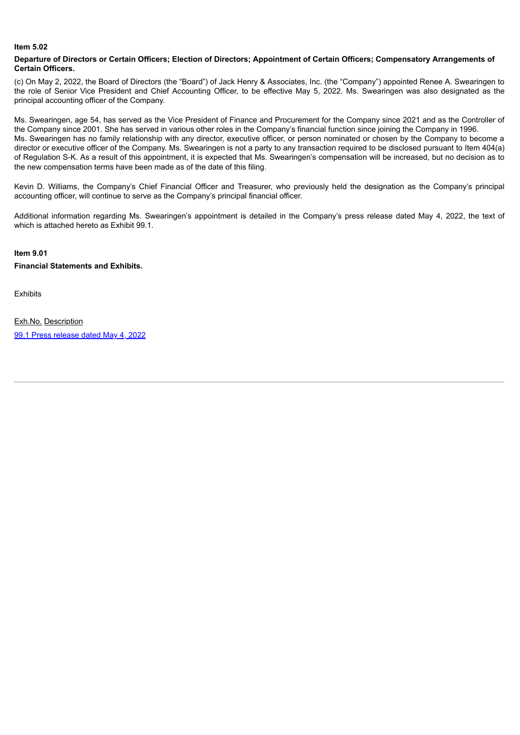### **Item 5.02**

#### Departure of Directors or Certain Officers; Election of Directors; Appointment of Certain Officers; Compensatory Arrangements of **Certain Officers.**

(c) On May 2, 2022, the Board of Directors (the "Board") of Jack Henry & Associates, Inc. (the "Company") appointed Renee A. Swearingen to the role of Senior Vice President and Chief Accounting Officer, to be effective May 5, 2022. Ms. Swearingen was also designated as the principal accounting officer of the Company.

Ms. Swearingen, age 54, has served as the Vice President of Finance and Procurement for the Company since 2021 and as the Controller of the Company since 2001. She has served in various other roles in the Company's financial function since joining the Company in 1996. Ms. Swearingen has no family relationship with any director, executive officer, or person nominated or chosen by the Company to become a director or executive officer of the Company. Ms. Swearingen is not a party to any transaction required to be disclosed pursuant to Item 404(a) of Regulation S-K. As a result of this appointment, it is expected that Ms. Swearingen's compensation will be increased, but no decision as to the new compensation terms have been made as of the date of this filing.

Kevin D. Williams, the Company's Chief Financial Officer and Treasurer, who previously held the designation as the Company's principal accounting officer, will continue to serve as the Company's principal financial officer.

Additional information regarding Ms. Swearingen's appointment is detailed in the Company's press release dated May 4, 2022, the text of which is attached hereto as Exhibit 99.1.

# **Item 9.01**

**Financial Statements and Exhibits.**

**Exhibits** 

Exh.No. Description 99.1 Press [release](#page-3-0) dated May 4, 2022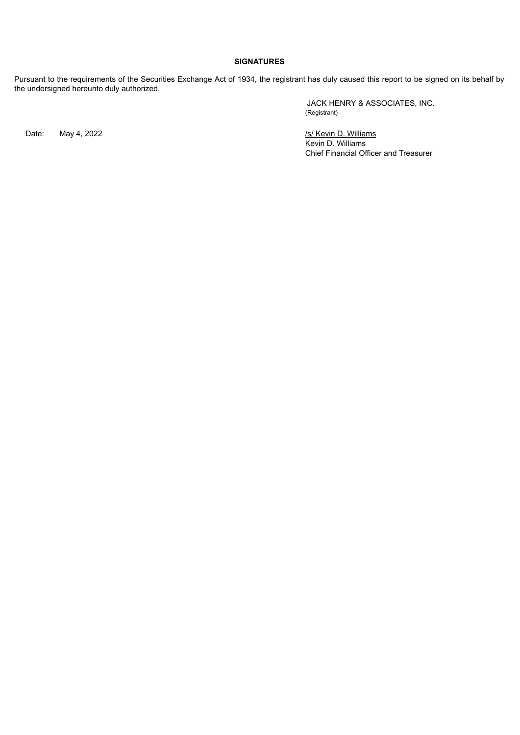## **SIGNATURES**

Pursuant to the requirements of the Securities Exchange Act of 1934, the registrant has duly caused this report to be signed on its behalf by the undersigned hereunto duly authorized.

JACK HENRY & ASSOCIATES, INC. (Registrant)

Date: May 4, 2022 *Internal of the Contract May 4, 2022 Internal of the May 19 Milliams* Kevin D. Williams Chief Financial Officer and Treasurer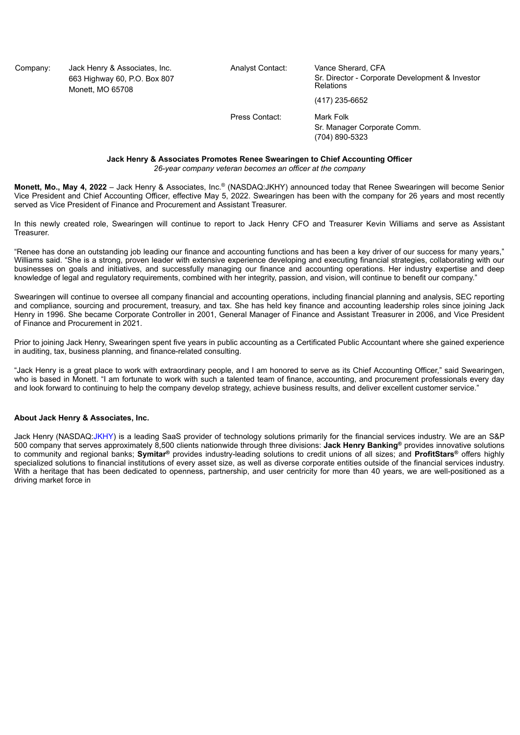<span id="page-3-0"></span>Company: Jack Henry & Associates, Inc. Analyst Contact: Vance Sherard, CFA Monett, MO 65708

663 Highway 60, P.O. Box 807 Sr. Director - Corporate Development & Investor<br>Relations (417) 235-6652

Press Contact: Mark Folk

Sr. Manager Corporate Comm. (704) 890-5323

**Jack Henry & Associates Promotes Renee Swearingen to Chief Accounting Officer**

*26-year company veteran becomes an officer at the company*

Monett, Mo., May 4, 2022 - Jack Henry & Associates, Inc.® (NASDAQ:JKHY) announced today that Renee Swearingen will become Senior Vice President and Chief Accounting Officer, effective May 5, 2022. Swearingen has been with the company for 26 years and most recently served as Vice President of Finance and Procurement and Assistant Treasurer.

In this newly created role, Swearingen will continue to report to Jack Henry CFO and Treasurer Kevin Williams and serve as Assistant **Treasurer.** 

"Renee has done an outstanding job leading our finance and accounting functions and has been a key driver of our success for many years," Williams said. "She is a strong, proven leader with extensive experience developing and executing financial strategies, collaborating with our businesses on goals and initiatives, and successfully managing our finance and accounting operations. Her industry expertise and deep knowledge of legal and regulatory requirements, combined with her integrity, passion, and vision, will continue to benefit our company."

Swearingen will continue to oversee all company financial and accounting operations, including financial planning and analysis, SEC reporting and compliance, sourcing and procurement, treasury, and tax. She has held key finance and accounting leadership roles since joining Jack Henry in 1996. She became Corporate Controller in 2001, General Manager of Finance and Assistant Treasurer in 2006, and Vice President of Finance and Procurement in 2021.

Prior to joining Jack Henry, Swearingen spent five years in public accounting as a Certificated Public Accountant where she gained experience in auditing, tax, business planning, and finance-related consulting.

"Jack Henry is a great place to work with extraordinary people, and I am honored to serve as its Chief Accounting Officer," said Swearingen, who is based in Monett. "I am fortunate to work with such a talented team of finance, accounting, and procurement professionals every day and look forward to continuing to help the company develop strategy, achieve business results, and deliver excellent customer service."

#### **About Jack Henry & Associates, Inc.**

Jack Henry (NASDAQ:JKHY) is a leading SaaS provider of technology solutions primarily for the financial services industry. We are an S&P 500 company that serves approximately 8,500 clients nationwide through three divisions: **Jack Henry Banking** provides innovative solutions **®** to community and regional banks; Symitar® provides industry-leading solutions to credit unions of all sizes; and ProfitStars® offers highly specialized solutions to financial institutions of every asset size, as well as diverse corporate entities outside of the financial services industry. With a heritage that has been dedicated to openness, partnership, and user centricity for more than 40 years, we are well-positioned as a driving market force in